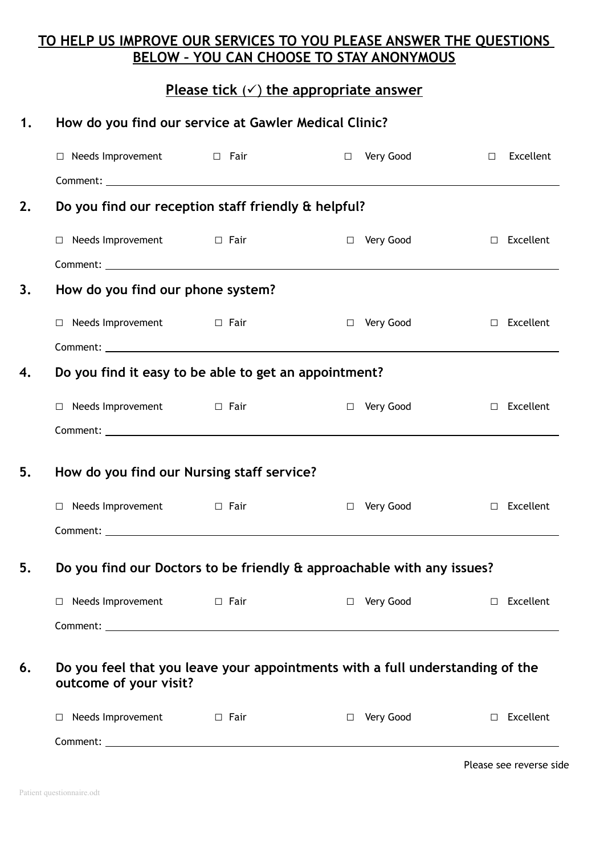## **TO HELP US IMPROVE OUR SERVICES TO YOU PLEASE ANSWER THE QUESTIONS BELOW – YOU CAN CHOOSE TO STAY ANONYMOUS**

## **Please tick** () **the appropriate answer**

| 1. | How do you find our service at Gawler Medical Clinic?                                                   |  |                     |  |                         |  |
|----|---------------------------------------------------------------------------------------------------------|--|---------------------|--|-------------------------|--|
|    | $\Box$ Needs Improvement $\Box$ Fair                                                                    |  | □ Very Good         |  | $\Box$ Excellent        |  |
|    |                                                                                                         |  |                     |  |                         |  |
| 2. | Do you find our reception staff friendly & helpful?                                                     |  |                     |  |                         |  |
|    | $\Box$ Needs Improvement $\Box$ Fair                                                                    |  | □ Very Good         |  | $\Box$ Excellent        |  |
|    |                                                                                                         |  |                     |  |                         |  |
| 3. | How do you find our phone system?                                                                       |  |                     |  |                         |  |
|    | $\Box$ Needs Improvement $\Box$ Fair                                                                    |  | Very Good<br>$\Box$ |  | $\Box$ Excellent        |  |
|    |                                                                                                         |  |                     |  |                         |  |
| 4. | Do you find it easy to be able to get an appointment?                                                   |  |                     |  |                         |  |
|    | $\Box$ Needs Improvement $\Box$ Fair                                                                    |  | □ Very Good         |  | $\Box$ Excellent        |  |
|    |                                                                                                         |  |                     |  |                         |  |
| 5. | How do you find our Nursing staff service?                                                              |  |                     |  |                         |  |
|    | $\Box$ Needs Improvement $\Box$ Fair                                                                    |  | □ Very Good         |  | $\Box$ Excellent        |  |
|    |                                                                                                         |  |                     |  |                         |  |
|    | Do you find our Doctors to be friendly & approachable with any issues?                                  |  |                     |  |                         |  |
|    | $\Box$ Needs Improvement $\Box$ Fair                                                                    |  | $\Box$ Very Good    |  | $\Box$ Excellent        |  |
|    |                                                                                                         |  |                     |  |                         |  |
| 6. | Do you feel that you leave your appointments with a full understanding of the<br>outcome of your visit? |  |                     |  |                         |  |
|    | $\Box$ Needs Improvement $\Box$ Fair                                                                    |  | □ Very Good         |  | $\Box$ Excellent        |  |
|    |                                                                                                         |  |                     |  |                         |  |
|    |                                                                                                         |  |                     |  | Please see reverse side |  |